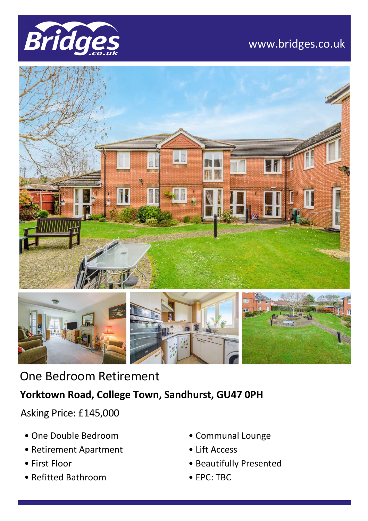

## www.bridges.co.uk





# One Bedroom Retirement

### **Yorktown Road, College Town, Sandhurst, GU47 0PH**

Asking Price: £145,000

- One Double Bedroom
- Retirement Apartment
- First Floor
- Refitted Bathroom
- Communal Lounge
- Lift Access
- Beautifully Presented
- EPC: TBC